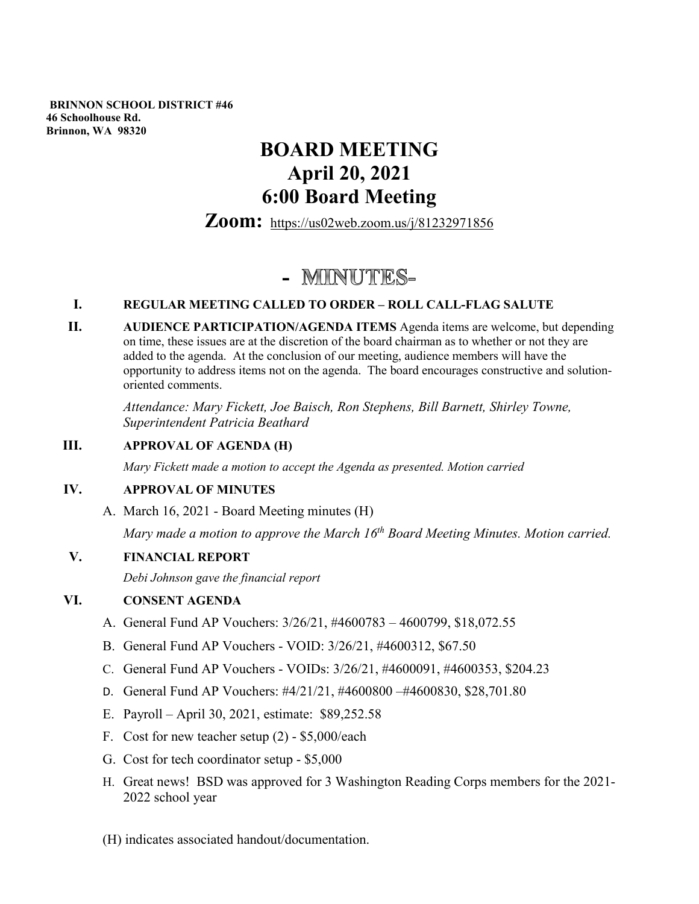**BRINNON SCHOOL DISTRICT #46 46 Schoolhouse Rd. Brinnon, WA 98320**

# **BOARD MEETING April 20, 2021 6:00 Board Meeting**

**Zoom:** <https://us02web.zoom.us/j/81232971856>

# - MINUTES-

# **I. REGULAR MEETING CALLED TO ORDER – ROLL CALL-FLAG SALUTE**

**II. AUDIENCE PARTICIPATION/AGENDA ITEMS** Agenda items are welcome, but depending on time, these issues are at the discretion of the board chairman as to whether or not they are added to the agenda. At the conclusion of our meeting, audience members will have the opportunity to address items not on the agenda. The board encourages constructive and solutionoriented comments.

*Attendance: Mary Fickett, Joe Baisch, Ron Stephens, Bill Barnett, Shirley Towne, Superintendent Patricia Beathard* 

# **III. APPROVAL OF AGENDA (H)**

*Mary Fickett made a motion to accept the Agenda as presented. Motion carried*

# **IV. APPROVAL OF MINUTES**

A. March 16, 2021 - Board Meeting minutes (H)

*Mary made a motion to approve the March 16<sup>th</sup> Board Meeting Minutes. Motion carried.* 

# **V. FINANCIAL REPORT**

*Debi Johnson gave the financial report*

# **VI. CONSENT AGENDA**

- A. General Fund AP Vouchers: 3/26/21, #4600783 4600799, \$18,072.55
- B. General Fund AP Vouchers VOID: 3/26/21, #4600312, \$67.50
- C. General Fund AP Vouchers VOIDs: 3/26/21, #4600091, #4600353, \$204.23
- D. General Fund AP Vouchers: #4/21/21, #4600800 –#4600830, \$28,701.80
- E. Payroll April 30, 2021, estimate: \$89,252.58
- F. Cost for new teacher setup (2) \$5,000/each
- G. Cost for tech coordinator setup \$5,000
- H. Great news! BSD was approved for 3 Washington Reading Corps members for the 2021- 2022 school year
- (H) indicates associated handout/documentation.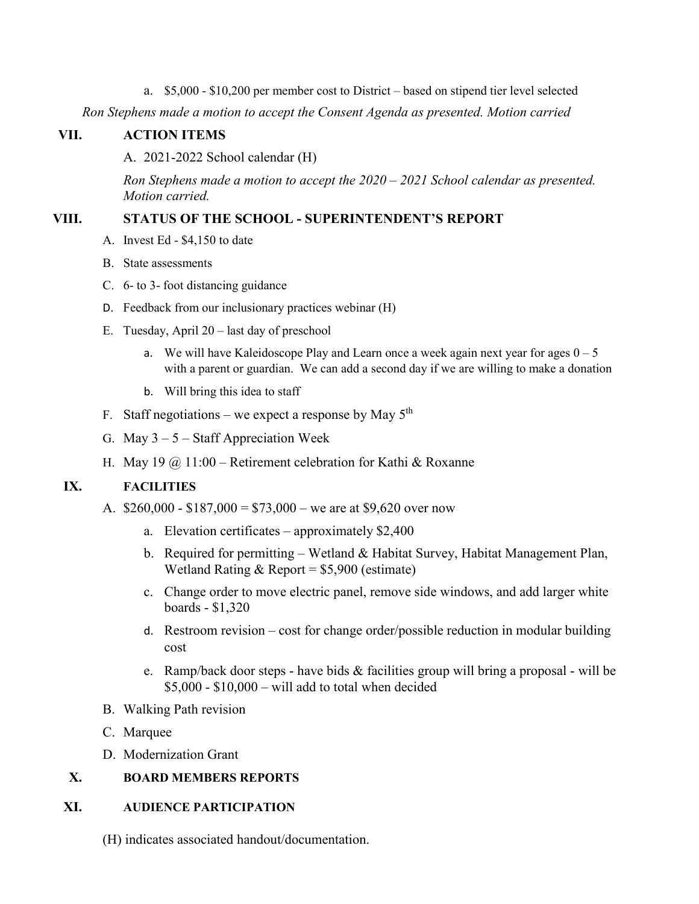a. \$5,000 - \$10,200 per member cost to District – based on stipend tier level selected

*Ron Stephens made a motion to accept the Consent Agenda as presented. Motion carried*

#### **VII. ACTION ITEMS**

A. 2021-2022 School calendar (H)

*Ron Stephens made a motion to accept the 2020 – 2021 School calendar as presented. Motion carried.*

#### **VIII. STATUS OF THE SCHOOL - SUPERINTENDENT'S REPORT**

- A. Invest Ed \$4,150 to date
- B. State assessments
- C. 6- to 3- foot distancing guidance
- D. Feedback from our inclusionary practices webinar (H)
- E. Tuesday, April 20 last day of preschool
	- a. We will have Kaleidoscope Play and Learn once a week again next year for ages  $0 5$ with a parent or guardian. We can add a second day if we are willing to make a donation
	- b. Will bring this idea to staff
- F. Staff negotiations we expect a response by May  $5<sup>th</sup>$
- G. May  $3 5$  Staff Appreciation Week
- H. May 19  $\omega$  11:00 Retirement celebration for Kathi & Roxanne

# **IX. FACILITIES**

- A.  $$260,000 $187,000 = $73,000 -$  we are at \$9,620 over now
	- a. Elevation certificates approximately \$2,400
	- b. Required for permitting Wetland & Habitat Survey, Habitat Management Plan, Wetland Rating  $&$  Report = \$5,900 (estimate)
	- c. Change order to move electric panel, remove side windows, and add larger white boards - \$1,320
	- d. Restroom revision cost for change order/possible reduction in modular building cost
	- e. Ramp/back door steps have bids & facilities group will bring a proposal will be  $$5,000 - $10,000 - will add to total when decided$
- B. Walking Path revision
- C. Marquee
- D. Modernization Grant

# **X. BOARD MEMBERS REPORTS**

#### **XI. AUDIENCE PARTICIPATION**

(H) indicates associated handout/documentation.